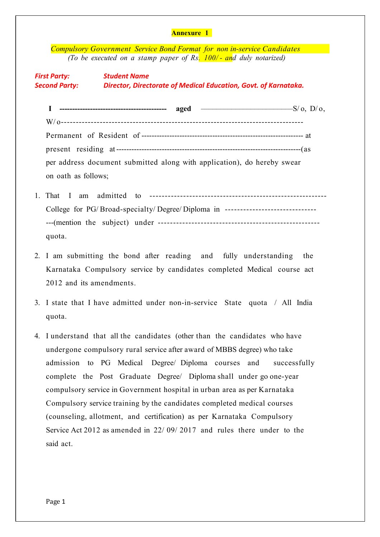|                                                                                                                                                                                                  | <b>Annexure 1</b>                                                                |              |  |  |
|--------------------------------------------------------------------------------------------------------------------------------------------------------------------------------------------------|----------------------------------------------------------------------------------|--------------|--|--|
|                                                                                                                                                                                                  | <b>Compulsory Government Service Bond Format for non in-service Candidates</b>   |              |  |  |
| (To be executed on a stamp paper of Rs. 100/- and duly notarized)<br><b>First Party:</b><br><b>Student Name</b><br>Second Party: Director, Directorate of Medical Education, Govt. of Karnataka. |                                                                                  |              |  |  |
|                                                                                                                                                                                                  |                                                                                  |              |  |  |
|                                                                                                                                                                                                  |                                                                                  |              |  |  |
|                                                                                                                                                                                                  |                                                                                  |              |  |  |
|                                                                                                                                                                                                  |                                                                                  |              |  |  |
|                                                                                                                                                                                                  | per address document submitted along with application), do hereby swear          |              |  |  |
| on oath as follows;                                                                                                                                                                              |                                                                                  |              |  |  |
| 1. That I am                                                                                                                                                                                     |                                                                                  |              |  |  |
|                                                                                                                                                                                                  | College for PG/Broad-specialty/Degree/Diploma in ------------------------------- |              |  |  |
|                                                                                                                                                                                                  |                                                                                  |              |  |  |
| quota.                                                                                                                                                                                           |                                                                                  |              |  |  |
|                                                                                                                                                                                                  | 2. I am submitting the bond after reading and fully understanding                | the          |  |  |
|                                                                                                                                                                                                  | Karnataka Compulsory service by candidates completed Medical course act          |              |  |  |
|                                                                                                                                                                                                  | 2012 and its amendments.                                                         |              |  |  |
|                                                                                                                                                                                                  | 3. I state that I have admitted under non-in-service State quota / All India     |              |  |  |
| quota.                                                                                                                                                                                           |                                                                                  |              |  |  |
|                                                                                                                                                                                                  |                                                                                  |              |  |  |
| 4.                                                                                                                                                                                               | I understand that all the candidates (other than the candidates who have         |              |  |  |
|                                                                                                                                                                                                  | undergone compulsory rural service after award of MBBS degree) who take          |              |  |  |
|                                                                                                                                                                                                  | admission to PG Medical Degree/ Diploma courses and                              | successfully |  |  |
|                                                                                                                                                                                                  | complete the Post Graduate Degree/ Diploma shall under go one-year               |              |  |  |
|                                                                                                                                                                                                  | compulsory service in Government hospital in urban area as per Karnataka         |              |  |  |
|                                                                                                                                                                                                  | Compulsory service training by the candidates completed medical courses          |              |  |  |

(counseling, allotment, and certification) as per Karnataka Compulsory Service Act 2012 as amended in 22/ 09/ 2017 and rules there under to the said act.